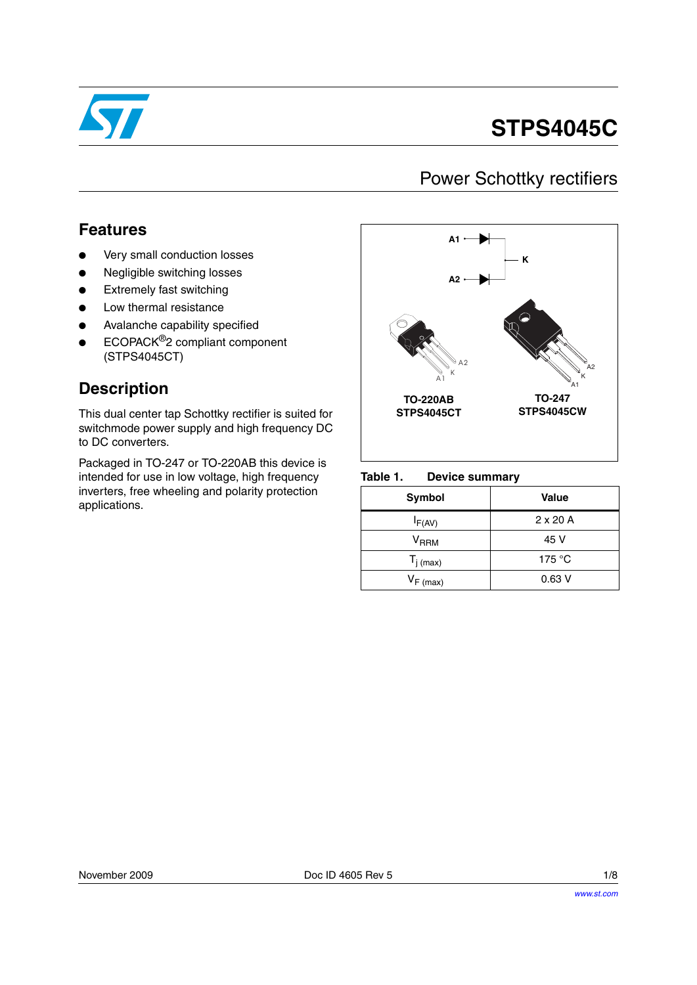

# **STPS4045C**

### Power Schottky rectifiers

### **Features**

- Very small conduction losses
- Negligible switching losses
- **Extremely fast switching**
- Low thermal resistance
- Avalanche capability specified
- ECOPACK<sup>®</sup>2 compliant component (STPS4045CT)

### **Description**

This dual center tap Schottky rectifier is suited for switchmode power supply and high frequency DC to DC converters.

Packaged in TO-247 or TO-220AB this device is intended for use in low voltage, high frequency inverters, free wheeling and polarity protection applications.



#### Table 1. **Device summary**

| <b>Symbol</b>             | <b>Value</b>    |
|---------------------------|-----------------|
| $I_{F(AV)}$               | $2 \times 20$ A |
| $\mathsf{V}_\mathsf{RRM}$ | 45 V            |
| $T_{j \text{ (max)}}$     | 175 $\degree$ C |
| $V_{F (max)}$             | 0.63V           |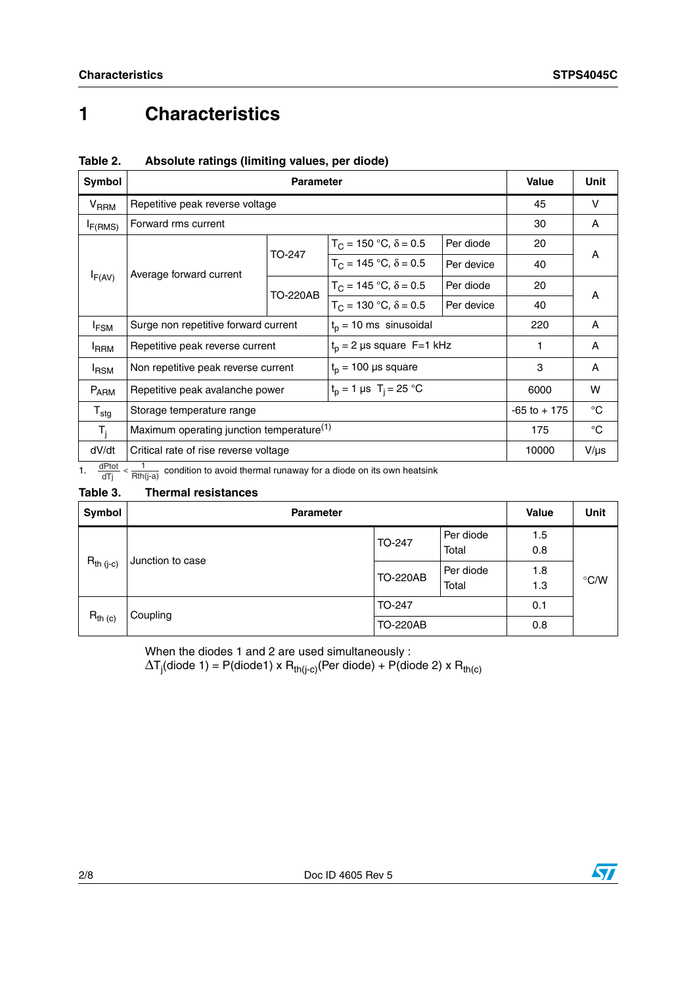## **1 Characteristics**

| Table 2. |                                               |  |  |
|----------|-----------------------------------------------|--|--|
|          | Absolute ratings (limiting values, per diode) |  |  |

| <b>Symbol</b>       |                                                       | Value                           | Unit                                             |            |                 |           |
|---------------------|-------------------------------------------------------|---------------------------------|--------------------------------------------------|------------|-----------------|-----------|
| $V_{RRM}$           |                                                       | Repetitive peak reverse voltage |                                                  |            |                 |           |
| I <sub>F(RMS)</sub> | Forward rms current                                   |                                 |                                                  |            |                 | Α         |
|                     |                                                       | TO-247                          | $T_C = 150 °C$ , $\delta = 0.5$                  | Per diode  | 20              | A         |
|                     | Average forward current                               |                                 | $T_C = 145 °C$ , $\delta = 0.5$                  | Per device | 40              |           |
| $I_{F(AV)}$         |                                                       | <b>TO-220AB</b>                 | $T_C = 145 °C$ , $\delta = 0.5$                  | Per diode  | 20              | A         |
|                     |                                                       |                                 | $T_C = 130 °C$ , $\delta = 0.5$                  | Per device | 40              |           |
| <sup>I</sup> FSM    | Surge non repetitive forward current                  |                                 | $t_0$ = 10 ms sinusoidal                         |            | 220             | A         |
| <b>IRRM</b>         | Repetitive peak reverse current                       |                                 | $t_0$ = 2 µs square F=1 kHz                      |            |                 | A         |
| <sup>I</sup> RSM    | Non repetitive peak reverse current                   |                                 | $t_p$ = 100 µs square                            |            | 3               | A         |
| $P_{ARM}$           | Repetitive peak avalanche power                       |                                 | $t_p = 1 \,\mu s \, T_i = 25 \,^{\circ}\text{C}$ |            | 6000            | W         |
| $T_{\text{stq}}$    | Storage temperature range                             |                                 |                                                  |            | $-65$ to $+175$ | °C        |
| $T_i$               | Maximum operating junction temperature <sup>(1)</sup> |                                 |                                                  |            | 175             | °C        |
| dV/dt               | Critical rate of rise reverse voltage                 |                                 |                                                  |            | 10000           | $V/\mu s$ |

1.  $\frac{dPtot}{dTj} < \frac{1}{Rth(j-a)}$  condition to avoid thermal runaway for a diode on its own heatsink

### **Table 3. Thermal resistances**

| Symbol                   | <b>Parameter</b> | <b>Value</b>    | <b>Unit</b>        |            |               |
|--------------------------|------------------|-----------------|--------------------|------------|---------------|
|                          | Junction to case | TO-247          | Per diode<br>Total | 1.5<br>0.8 |               |
| $R_{th (j-c)}$           |                  | <b>TO-220AB</b> | Per diode<br>Total | 1.8<br>1.3 | $\degree$ C/W |
| $R_{th}$ (c)<br>Coupling | TO-247           |                 | 0.1                |            |               |
|                          |                  | <b>TO-220AB</b> |                    | 0.8        |               |

When the diodes 1 and 2 are used simultaneously :

 $\Delta$ T<sub>j</sub>(diode 1) = P(diode1) x R<sub>th(j-c)</sub>(Per diode) + P(diode 2) x R<sub>th(c)</sub>

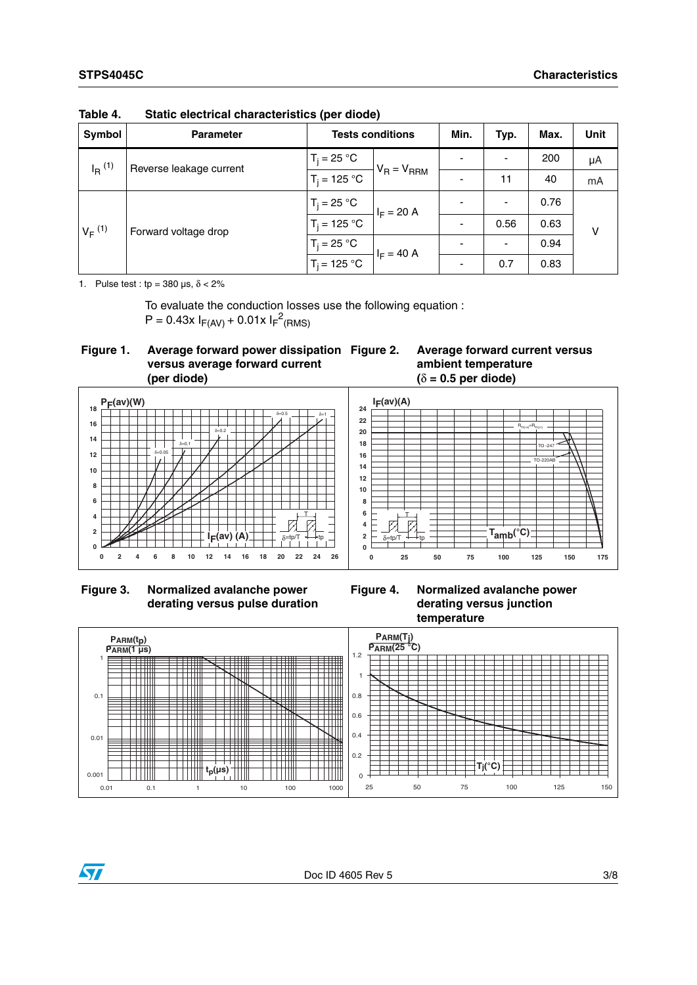| Symbol                              | <b>Parameter</b>        | <b>Tests conditions</b> |                          | Min.                     | Typ.                     | Max. | <b>Unit</b> |
|-------------------------------------|-------------------------|-------------------------|--------------------------|--------------------------|--------------------------|------|-------------|
| $I_R$ <sup>(1)</sup>                | Reverse leakage current | $T_i = 25 °C$           |                          |                          | $\overline{\phantom{0}}$ | 200  | μA          |
|                                     | $T_i = 125 °C$          | $V_R = V_{RRM}$         | $\overline{\phantom{0}}$ | 11                       | 40                       | mA   |             |
| $V_F^{(1)}$<br>Forward voltage drop | $T_i = 25 °C$           | $I_F = 20 A$            |                          | $\overline{\phantom{0}}$ | 0.76                     |      |             |
|                                     | $T_i = 125 °C$          |                         |                          | 0.56                     | 0.63                     | v    |             |
|                                     | $T_i = 25 °C$           | $I_F = 40 A$            |                          | $\overline{\phantom{0}}$ | 0.94                     |      |             |
|                                     | $T_i = 125 °C$          |                         |                          | 0.7                      | 0.83                     |      |             |

**Table 4. Static electrical characteristics (per diode)**

1. Pulse test : tp =  $380 \,\mu s$ ,  $\delta < 2\%$ 

To evaluate the conduction losses use the following equation :  $P = 0.43x I_{F(AV)} + 0.01x I_{F}^{2}$ (RMS)



**Figure 2. Average forward current versus ambient temperature (**δ **= 0.5 per diode)**



 **Figure 3. Normalized avalanche power derating versus pulse duration**

**Figure 4. Normalized avalanche power derating versus junction temperature**



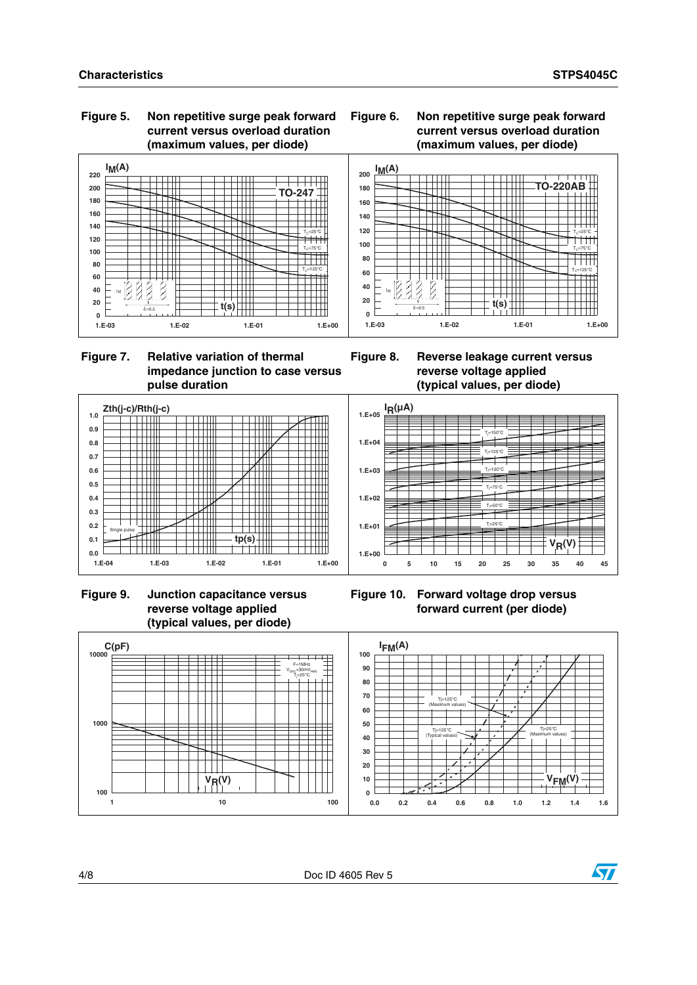**Zth(j-c)/Rth(j-c)**

Ш

╫

l Tittill

Single pulse

**0.0 0.1 0.2 0.3 0.4 0.5 0.6 0.7 0.8 0.9 1.0**

### **Figure 5. Non repetitive surge peak forward current versus overload duration (maximum values, per diode)**

### **Figure 6. Non repetitive surge peak forward current versus overload duration (maximum values, per diode)**





 $\pm$ 

 $\Box$ 

 $\top$ 

 $\frac{1}{\frac{1}{\frac{1}{\frac{1}{\frac{1}{\frac{1}{\cdots}}}}}}$ 

 $\overline{\phantom{0}}$ 

╤

 $\Box$ ┯ Ħ

Ŧ

ᆩ **THE REAL** 

┯┷







<del>, , , , , , , , , ,</del>





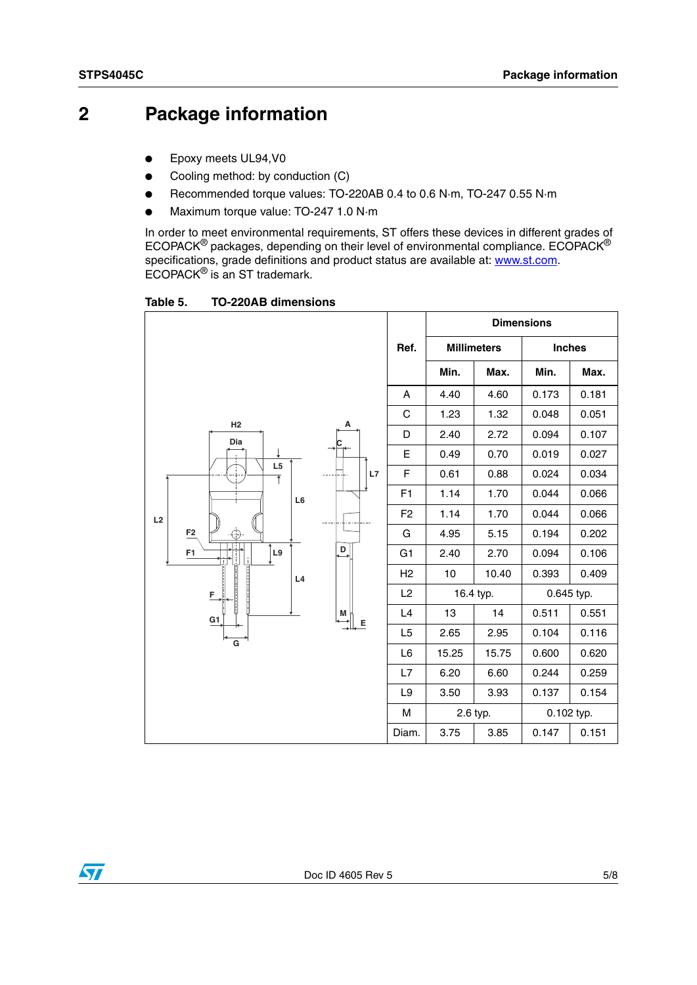### **2 Package information**

- Epoxy meets UL94, V0
- Cooling method: by conduction (C)
- Recommended torque values: TO-220AB 0.4 to 0.6 N·m, TO-247 0.55 N·m
- Maximum torque value: TO-247 1.0 N·m

In order to meet environmental requirements, ST offers these devices in different grades of ECOPACK $^{\circledR}$  packages, depending on their level of environmental compliance. ECOPACK $^{\circledR}$ specifications, grade definitions and product status are available at: **www.st.com**. ECOPACK® is an ST trademark.

Table 5. **Table 5. TO-220AB dimensions**

|                                     |                |           | <b>Dimensions</b>  |               |            |
|-------------------------------------|----------------|-----------|--------------------|---------------|------------|
|                                     | Ref.           |           | <b>Millimeters</b> | <b>Inches</b> |            |
|                                     |                | Min.      | Max.               | Min.          | Max.       |
|                                     | Α              | 4.40      | 4.60               | 0.173         | 0.181      |
|                                     | $\mathsf C$    | 1.23      | 1.32               | 0.048         | 0.051      |
| H2<br>А<br>Dia                      | D              | 2.40      | 2.72               | 0.094         | 0.107      |
|                                     | E              | 0.49      | 0.70               | 0.019         | 0.027      |
| L5<br>L7<br>$\overline{\textbf{f}}$ | F              | 0.61      | 0.88               | 0.024         | 0.034      |
| L <sub>6</sub>                      | F1             | 1.14      | 1.70               | 0.044         | 0.066      |
| L2                                  | F <sub>2</sub> | 1.14      | 1.70               | 0.044         | 0.066      |
| F2<br>⊕                             | G              | 4.95      | 5.15               | 0.194         | 0.202      |
| $\overline{\mathsf{D}}$<br>L9<br>F1 | G <sub>1</sub> | 2.40      | 2.70               | 0.094         | 0.106      |
| L4                                  | H <sub>2</sub> | 10        | 10.40              | 0.393         | 0.409      |
| F                                   | L2             | 16.4 typ. |                    | 0.645 typ.    |            |
| M<br>G1<br>Е                        | L4             | 13        | 14                 | 0.511         | 0.551      |
| G                                   | L5             | 2.65      | 2.95               | 0.104         | 0.116      |
|                                     | L6             | 15.25     | 15.75              | 0.600         | 0.620      |
|                                     | L7             | 6.20      | 6.60               | 0.244         | 0.259      |
|                                     | L <sub>9</sub> | 3.50      | 3.93               | 0.137         | 0.154      |
|                                     | M              |           | 2.6 typ.           |               | 0.102 typ. |
|                                     | Diam.          | 3.75      | 3.85               | 0.147         | 0.151      |

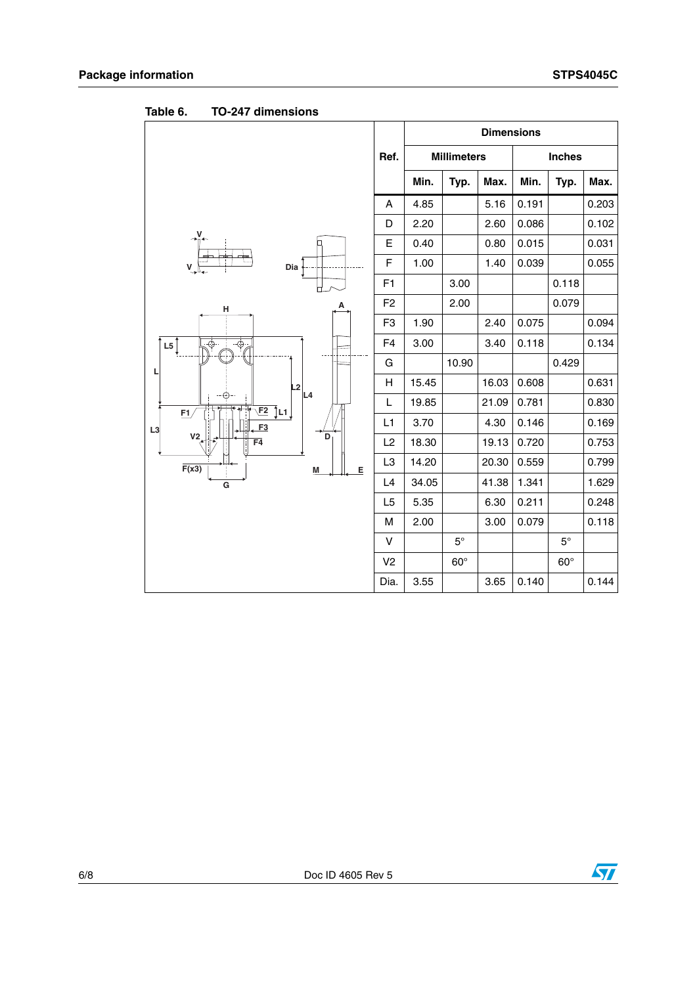|                                                      |                |       |                    | <b>Dimensions</b> |       |               |       |
|------------------------------------------------------|----------------|-------|--------------------|-------------------|-------|---------------|-------|
|                                                      | Ref.           |       | <b>Millimeters</b> |                   |       | <b>Inches</b> |       |
|                                                      |                | Min.  | Typ.               | Max.              | Min.  | Typ.          | Max.  |
|                                                      | A              | 4.85  |                    | 5.16              | 0.191 |               | 0.203 |
|                                                      | D              | 2.20  |                    | 2.60              | 0.086 |               | 0.102 |
| V.                                                   | Е              | 0.40  |                    | 0.80              | 0.015 |               | 0.031 |
| m.<br>v<br>Dia                                       | F              | 1.00  |                    | 1.40              | 0.039 |               | 0.055 |
|                                                      | F <sub>1</sub> |       | 3.00               |                   |       | 0.118         |       |
| н                                                    | F <sub>2</sub> |       | 2.00               |                   |       | 0.079         |       |
|                                                      | F <sub>3</sub> | 1.90  |                    | 2.40              | 0.075 |               | 0.094 |
| $\overline{\overline{\Phi}}_{\overline{\rho}}$<br>L5 | F <sub>4</sub> | 3.00  |                    | 3.40              | 0.118 |               | 0.134 |
| L<br>L <sub>2</sub><br>L4                            | G              |       | 10.90              |                   |       | 0.429         |       |
|                                                      | н              | 15.45 |                    | 16.03             | 0.608 |               | 0.631 |
| Tূ∟1 ∫<br>E2<br>E1                                   | L              | 19.85 |                    | 21.09             | 0.781 |               | 0.830 |
| F3<br>L3                                             | L1             | 3.70  |                    | 4.30              | 0.146 |               | 0.169 |
| V <sub>2</sub><br>D<br>$\overline{F4}$               | L2             | 18.30 |                    | 19.13             | 0.720 |               | 0.753 |
| F(x3)<br>E<br>M                                      | L <sub>3</sub> | 14.20 |                    | 20.30             | 0.559 |               | 0.799 |
| G                                                    | L4             | 34.05 |                    | 41.38             | 1.341 |               | 1.629 |
|                                                      | L5             | 5.35  |                    | 6.30              | 0.211 |               | 0.248 |
|                                                      | M              | 2.00  |                    | 3.00              | 0.079 |               | 0.118 |
|                                                      | v              |       | $5^{\circ}$        |                   |       | $5^{\circ}$   |       |
|                                                      | V <sub>2</sub> |       | $60^\circ$         |                   |       | $60^\circ$    |       |
|                                                      | Dia.           | 3.55  |                    | 3.65              | 0.140 |               | 0.144 |

**Table 6. TO-247 dimensions**

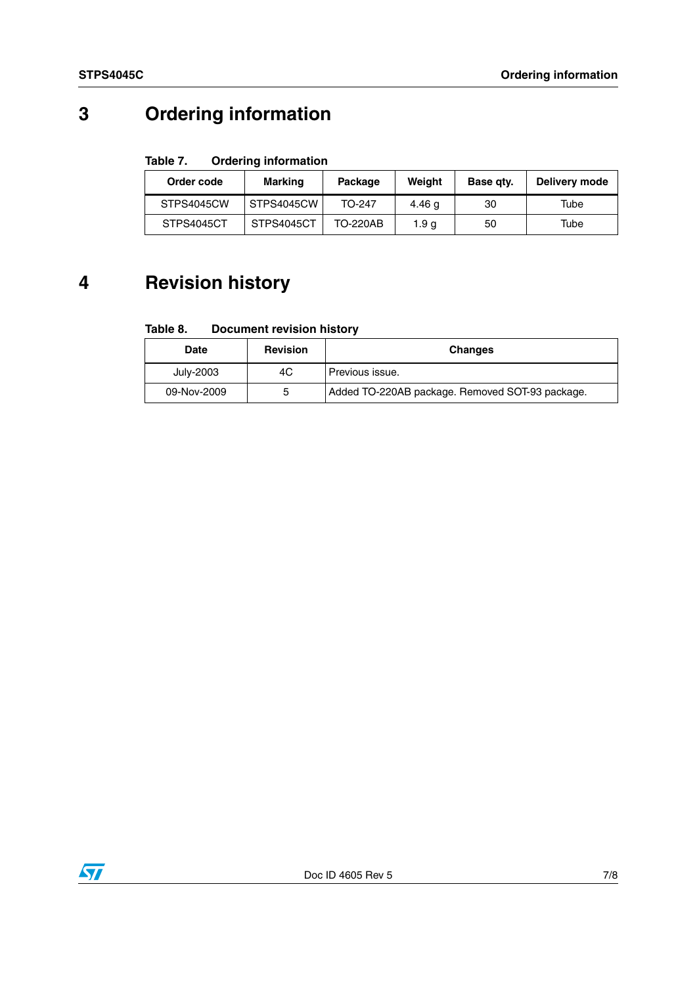## **3 Ordering information**

#### Table 7. **Ordering information**

| Order code | Marking    | Package         | Weight | Base gty. | Delivery mode |
|------------|------------|-----------------|--------|-----------|---------------|
| STPS4045CW | STPS4045CW | TO-247          | 4.46 g | 30        | Tube          |
| STPS4045CT | STPS4045CT | <b>TO-220AB</b> | 1.9 a  | 50        | Tube          |

## **4 Revision history**

#### Table 8. **Document revision history**

| Date        | <b>Revision</b> | <b>Changes</b>                                  |
|-------------|-----------------|-------------------------------------------------|
| July-2003   | 4C              | Previous issue.                                 |
| 09-Nov-2009 | 5               | Added TO-220AB package. Removed SOT-93 package. |